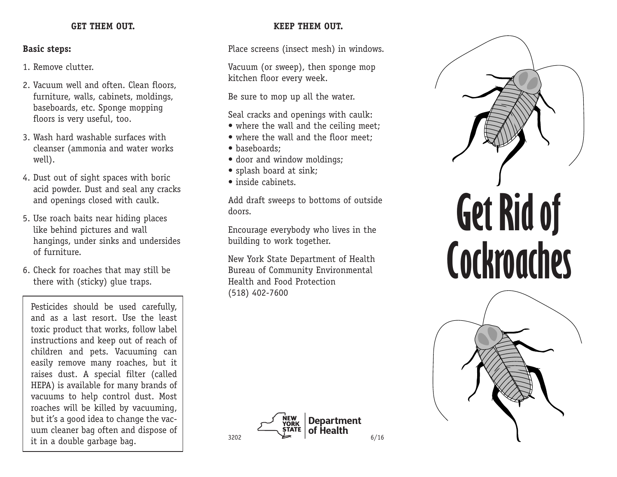## **GET THEM OUT.**

## **Basic steps:**

- 1. Remove clutter.
- 2. Vacuum well and often. Clean floors, furniture, walls, cabinets, moldings, baseboards, etc. Sponge mopping floors is very useful, too.
- 3. Wash hard washable surfaces with cleanser (ammonia and water works well).
- 4. Dust out of sight spaces with boric acid powder. Dust and seal any cracks and openings closed with caulk.
- 5. Use roach baits near hiding places like behind pictures and wall hangings, under sinks and undersides of furniture.
- 6. Check for roaches that may still be there with (sticky) glue traps.

Pesticides should be used carefully, and as a last resort. Use the least toxic product that works, follow label instructions and keep out of reach of children and pets. Vacuuming can easily remove many roaches, but it raises dust. A special filter (called HEPA) is available for many brands of vacuums to help control dust. Most roaches will be killed by vacuuming, but it's a good idea to change the vacuum cleaner bag often and dispose of it in a double garbage bag.

## **KEEP THEM OUT.**

Place screens (insect mesh) in windows.

Vacuum (or sweep), then sponge mop kitchen floor every week.

Be sure to mop up all the water.

- Seal cracks and openings with caulk:
- where the wall and the ceiling meet;
- where the wall and the floor meet;
- baseboards;
- door and window moldings;
- splash board at sink;
- inside cabinets.

Add draft sweeps to bottoms of outside doors.

Encourage everybody who lives in the building to work together.

New York State Department of Health Bureau of Community Environmental Health and Food Protection (518) 402-7600